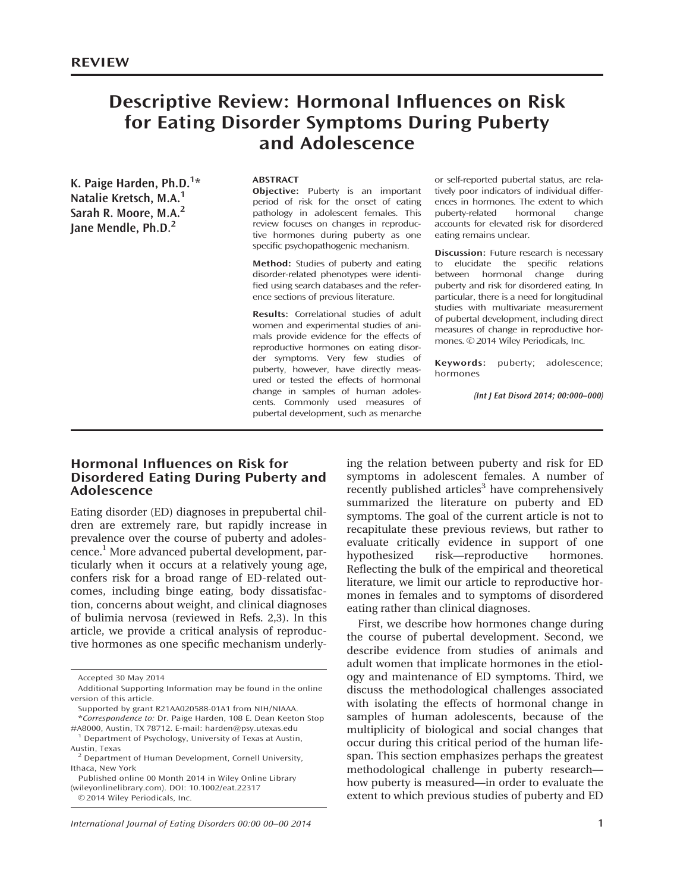# Descriptive Review: Hormonal Influences on Risk for Eating Disorder Symptoms During Puberty and Adolescence

K. Paige Harden, Ph.D.<sup>1\*</sup> Natalie Kretsch, M.A.1 Sarah R. Moore, M.A.<sup>2</sup> Jane Mendle,  $Ph.D.<sup>2</sup>$ 

#### ABSTRACT

**Objective:** Puberty is an important period of risk for the onset of eating pathology in adolescent females. This review focuses on changes in reproductive hormones during puberty as one specific psychopathogenic mechanism.

Method: Studies of puberty and eating disorder-related phenotypes were identified using search databases and the reference sections of previous literature.

Results: Correlational studies of adult women and experimental studies of animals provide evidence for the effects of reproductive hormones on eating disorder symptoms. Very few studies of puberty, however, have directly measured or tested the effects of hormonal change in samples of human adolescents. Commonly used measures of pubertal development, such as menarche

or self-reported pubertal status, are relatively poor indicators of individual differences in hormones. The extent to which puberty-related hormonal change accounts for elevated risk for disordered eating remains unclear.

Discussion: Future research is necessary to elucidate the specific relations between hormonal change during puberty and risk for disordered eating. In particular, there is a need for longitudinal studies with multivariate measurement of pubertal development, including direct measures of change in reproductive hormones.  $\odot$  2014 Wiley Periodicals, Inc.

Keywords: puberty; adolescence; hormones

(Int J Eat Disord 2014; 00:000–000)

# Hormonal Influences on Risk for Disordered Eating During Puberty and Adolescence

Eating disorder (ED) diagnoses in prepubertal children are extremely rare, but rapidly increase in prevalence over the course of puberty and adolescence.1 More advanced pubertal development, particularly when it occurs at a relatively young age, confers risk for a broad range of ED-related outcomes, including binge eating, body dissatisfaction, concerns about weight, and clinical diagnoses of bulimia nervosa (reviewed in Refs. 2,3). In this article, we provide a critical analysis of reproductive hormones as one specific mechanism underly-

#A8000, Austin, TX 78712. E-mail: harden@psy.utexas.edu  $1$  Department of Psychology, University of Texas at Austin, Austin, Texas

Published online 00 Month 2014 in Wiley Online Library (wileyonlinelibrary.com). DOI: 10.1002/eat.22317

 $© 2014 Wiley Periodicals, Inc.$ 

ing the relation between puberty and risk for ED symptoms in adolescent females. A number of recently published articles<sup>3</sup> have comprehensively summarized the literature on puberty and ED symptoms. The goal of the current article is not to recapitulate these previous reviews, but rather to evaluate critically evidence in support of one hypothesized risk—reproductive hormones. Reflecting the bulk of the empirical and theoretical literature, we limit our article to reproductive hormones in females and to symptoms of disordered eating rather than clinical diagnoses.

First, we describe how hormones change during the course of pubertal development. Second, we describe evidence from studies of animals and adult women that implicate hormones in the etiology and maintenance of ED symptoms. Third, we discuss the methodological challenges associated with isolating the effects of hormonal change in samples of human adolescents, because of the multiplicity of biological and social changes that occur during this critical period of the human lifespan. This section emphasizes perhaps the greatest methodological challenge in puberty research how puberty is measured—in order to evaluate the extent to which previous studies of puberty and ED

Accepted 30 May 2014

Additional Supporting Information may be found in the online version of this article.

Supported by grant R21AA020588-01A1 from NIH/NIAAA. \*Correspondence to: Dr. Paige Harden, 108 E. Dean Keeton Stop

 $2$  Department of Human Development, Cornell University, Ithaca, New York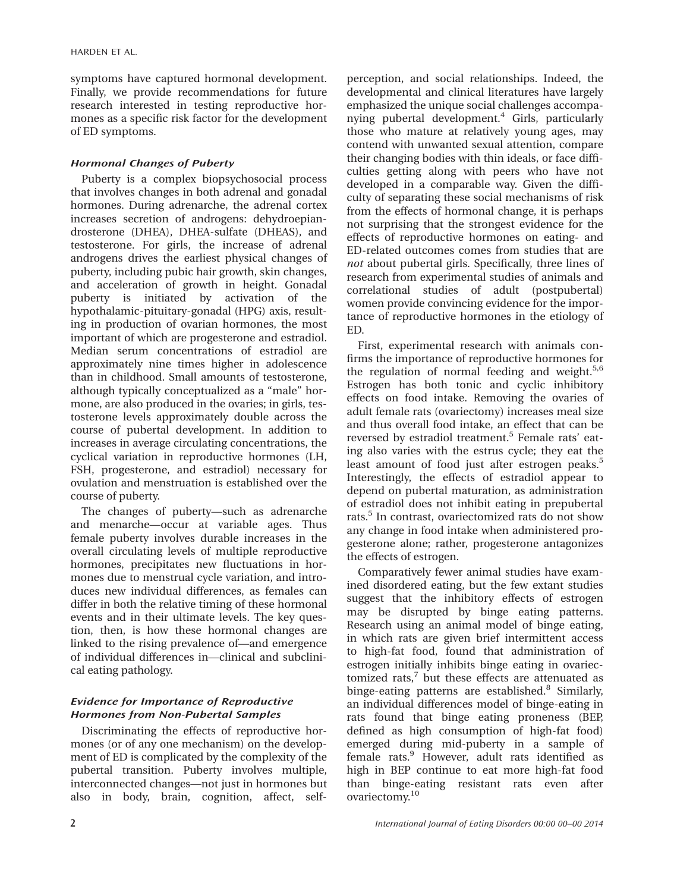symptoms have captured hormonal development. Finally, we provide recommendations for future research interested in testing reproductive hormones as a specific risk factor for the development of ED symptoms.

# Hormonal Changes of Puberty

Puberty is a complex biopsychosocial process that involves changes in both adrenal and gonadal hormones. During adrenarche, the adrenal cortex increases secretion of androgens: dehydroepiandrosterone (DHEA), DHEA-sulfate (DHEAS), and testosterone. For girls, the increase of adrenal androgens drives the earliest physical changes of puberty, including pubic hair growth, skin changes, and acceleration of growth in height. Gonadal puberty is initiated by activation of the hypothalamic-pituitary-gonadal (HPG) axis, resulting in production of ovarian hormones, the most important of which are progesterone and estradiol. Median serum concentrations of estradiol are approximately nine times higher in adolescence than in childhood. Small amounts of testosterone, although typically conceptualized as a "male" hormone, are also produced in the ovaries; in girls, testosterone levels approximately double across the course of pubertal development. In addition to increases in average circulating concentrations, the cyclical variation in reproductive hormones (LH, FSH, progesterone, and estradiol) necessary for ovulation and menstruation is established over the course of puberty.

The changes of puberty—such as adrenarche and menarche—occur at variable ages. Thus female puberty involves durable increases in the overall circulating levels of multiple reproductive hormones, precipitates new fluctuations in hormones due to menstrual cycle variation, and introduces new individual differences, as females can differ in both the relative timing of these hormonal events and in their ultimate levels. The key question, then, is how these hormonal changes are linked to the rising prevalence of—and emergence of individual differences in—clinical and subclinical eating pathology.

# Evidence for Importance of Reproductive Hormones from Non-Pubertal Samples

Discriminating the effects of reproductive hormones (or of any one mechanism) on the development of ED is complicated by the complexity of the pubertal transition. Puberty involves multiple, interconnected changes—not just in hormones but also in body, brain, cognition, affect, selfperception, and social relationships. Indeed, the developmental and clinical literatures have largely emphasized the unique social challenges accompanying pubertal development.<sup>4</sup> Girls, particularly those who mature at relatively young ages, may contend with unwanted sexual attention, compare their changing bodies with thin ideals, or face difficulties getting along with peers who have not developed in a comparable way. Given the difficulty of separating these social mechanisms of risk from the effects of hormonal change, it is perhaps not surprising that the strongest evidence for the effects of reproductive hormones on eating- and ED-related outcomes comes from studies that are not about pubertal girls. Specifically, three lines of research from experimental studies of animals and correlational studies of adult (postpubertal) women provide convincing evidence for the importance of reproductive hormones in the etiology of ED.

First, experimental research with animals confirms the importance of reproductive hormones for the regulation of normal feeding and weight. $5.6$ Estrogen has both tonic and cyclic inhibitory effects on food intake. Removing the ovaries of adult female rats (ovariectomy) increases meal size and thus overall food intake, an effect that can be reversed by estradiol treatment.<sup>5</sup> Female rats' eating also varies with the estrus cycle; they eat the least amount of food just after estrogen peaks.<sup>5</sup> Interestingly, the effects of estradiol appear to depend on pubertal maturation, as administration of estradiol does not inhibit eating in prepubertal rats.<sup>5</sup> In contrast, ovariectomized rats do not show any change in food intake when administered progesterone alone; rather, progesterone antagonizes the effects of estrogen.

Comparatively fewer animal studies have examined disordered eating, but the few extant studies suggest that the inhibitory effects of estrogen may be disrupted by binge eating patterns. Research using an animal model of binge eating, in which rats are given brief intermittent access to high-fat food, found that administration of estrogen initially inhibits binge eating in ovariectomized rats,<sup>7</sup> but these effects are attenuated as binge-eating patterns are established.<sup>8</sup> Similarly, an individual differences model of binge-eating in rats found that binge eating proneness (BEP, defined as high consumption of high-fat food) emerged during mid-puberty in a sample of female rats.<sup>9</sup> However, adult rats identified as high in BEP continue to eat more high-fat food than binge-eating resistant rats even after ovariectomy.<sup>10</sup>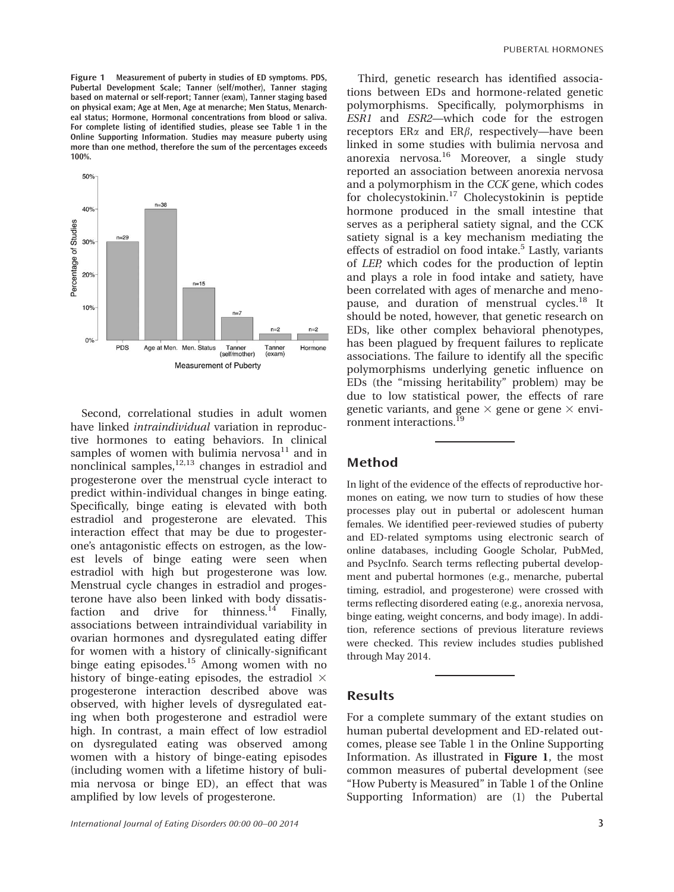Figure 1 Measurement of puberty in studies of ED symptoms. PDS, Pubertal Development Scale; Tanner (self/mother), Tanner staging based on maternal or self-report; Tanner (exam), Tanner staging based on physical exam; Age at Men, Age at menarche; Men Status, Menarcheal status; Hormone, Hormonal concentrations from blood or saliva. For complete listing of identified studies, please see Table 1 in the Online Supporting Information. Studies may measure puberty using more than one method, therefore the sum of the percentages exceeds 100%.



Second, correlational studies in adult women have linked intraindividual variation in reproductive hormones to eating behaviors. In clinical samples of women with bulimia nervosa $11$  and in nonclinical samples, $12,13$  changes in estradiol and progesterone over the menstrual cycle interact to predict within-individual changes in binge eating. Specifically, binge eating is elevated with both estradiol and progesterone are elevated. This interaction effect that may be due to progesterone's antagonistic effects on estrogen, as the lowest levels of binge eating were seen when estradiol with high but progesterone was low. Menstrual cycle changes in estradiol and progesterone have also been linked with body dissatisfaction and drive for thinness. $14$  Finally, associations between intraindividual variability in ovarian hormones and dysregulated eating differ for women with a history of clinically-significant binge eating episodes.<sup>15</sup> Among women with no history of binge-eating episodes, the estradiol  $\times$ progesterone interaction described above was observed, with higher levels of dysregulated eating when both progesterone and estradiol were high. In contrast, a main effect of low estradiol on dysregulated eating was observed among women with a history of binge-eating episodes (including women with a lifetime history of bulimia nervosa or binge ED), an effect that was amplified by low levels of progesterone.

Third, genetic research has identified associations between EDs and hormone-related genetic polymorphisms. Specifically, polymorphisms in ESR1 and ESR2—which code for the estrogen receptors  $ER\alpha$  and  $ER\beta$ , respectively—have been linked in some studies with bulimia nervosa and anorexia nervosa.<sup>16</sup> Moreover, a single study reported an association between anorexia nervosa and a polymorphism in the CCK gene, which codes for cholecystokinin. $17$  Cholecystokinin is peptide hormone produced in the small intestine that serves as a peripheral satiety signal, and the CCK satiety signal is a key mechanism mediating the effects of estradiol on food intake.<sup>5</sup> Lastly, variants of LEP, which codes for the production of leptin and plays a role in food intake and satiety, have been correlated with ages of menarche and menopause, and duration of menstrual cycles.<sup>18</sup> It should be noted, however, that genetic research on EDs, like other complex behavioral phenotypes, has been plagued by frequent failures to replicate associations. The failure to identify all the specific polymorphisms underlying genetic influence on EDs (the "missing heritability" problem) may be due to low statistical power, the effects of rare genetic variants, and gene  $\times$  gene or gene  $\times$  environment interactions.<sup>19</sup>

# Method

In light of the evidence of the effects of reproductive hormones on eating, we now turn to studies of how these processes play out in pubertal or adolescent human females. We identified peer-reviewed studies of puberty and ED-related symptoms using electronic search of online databases, including Google Scholar, PubMed, and PsycInfo. Search terms reflecting pubertal development and pubertal hormones (e.g., menarche, pubertal timing, estradiol, and progesterone) were crossed with terms reflecting disordered eating (e.g., anorexia nervosa, binge eating, weight concerns, and body image). In addition, reference sections of previous literature reviews were checked. This review includes studies published through May 2014.

## Results

For a complete summary of the extant studies on human pubertal development and ED-related outcomes, please see Table 1 in the Online Supporting Information. As illustrated in Figure 1, the most common measures of pubertal development (see "How Puberty is Measured" in Table 1 of the Online Supporting Information) are (1) the Pubertal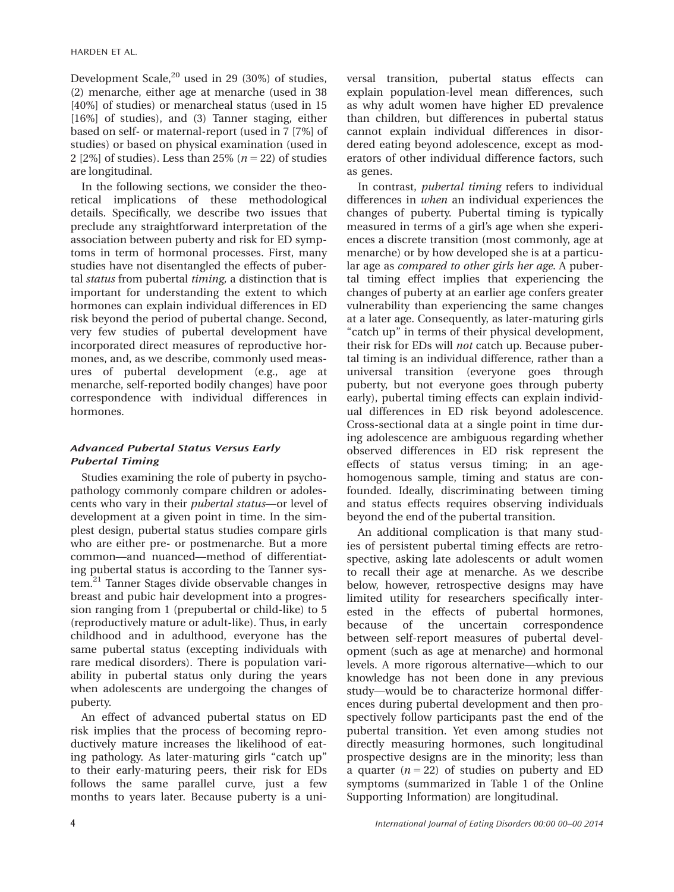Development Scale, $^{20}$  used in 29 (30%) of studies, (2) menarche, either age at menarche (used in 38 [40%] of studies) or menarcheal status (used in 15 [16%] of studies), and (3) Tanner staging, either based on self- or maternal-report (used in 7 [7%] of studies) or based on physical examination (used in 2 [2%] of studies). Less than 25% ( $n = 22$ ) of studies are longitudinal.

In the following sections, we consider the theoretical implications of these methodological details. Specifically, we describe two issues that preclude any straightforward interpretation of the association between puberty and risk for ED symptoms in term of hormonal processes. First, many studies have not disentangled the effects of pubertal status from pubertal timing, a distinction that is important for understanding the extent to which hormones can explain individual differences in ED risk beyond the period of pubertal change. Second, very few studies of pubertal development have incorporated direct measures of reproductive hormones, and, as we describe, commonly used measures of pubertal development (e.g., age at menarche, self-reported bodily changes) have poor correspondence with individual differences in hormones.

# Advanced Pubertal Status Versus Early Pubertal Timing

Studies examining the role of puberty in psychopathology commonly compare children or adolescents who vary in their pubertal status—or level of development at a given point in time. In the simplest design, pubertal status studies compare girls who are either pre- or postmenarche. But a more common—and nuanced—method of differentiating pubertal status is according to the Tanner system.<sup>21</sup> Tanner Stages divide observable changes in breast and pubic hair development into a progression ranging from 1 (prepubertal or child-like) to 5 (reproductively mature or adult-like). Thus, in early childhood and in adulthood, everyone has the same pubertal status (excepting individuals with rare medical disorders). There is population variability in pubertal status only during the years when adolescents are undergoing the changes of puberty.

An effect of advanced pubertal status on ED risk implies that the process of becoming reproductively mature increases the likelihood of eating pathology. As later-maturing girls "catch up" to their early-maturing peers, their risk for EDs follows the same parallel curve, just a few months to years later. Because puberty is a universal transition, pubertal status effects can explain population-level mean differences, such as why adult women have higher ED prevalence than children, but differences in pubertal status cannot explain individual differences in disordered eating beyond adolescence, except as moderators of other individual difference factors, such as genes.

In contrast, *pubertal timing* refers to individual differences in when an individual experiences the changes of puberty. Pubertal timing is typically measured in terms of a girl's age when she experiences a discrete transition (most commonly, age at menarche) or by how developed she is at a particular age as compared to other girls her age. A pubertal timing effect implies that experiencing the changes of puberty at an earlier age confers greater vulnerability than experiencing the same changes at a later age. Consequently, as later-maturing girls "catch up" in terms of their physical development, their risk for EDs will not catch up. Because pubertal timing is an individual difference, rather than a universal transition (everyone goes through puberty, but not everyone goes through puberty early), pubertal timing effects can explain individual differences in ED risk beyond adolescence. Cross-sectional data at a single point in time during adolescence are ambiguous regarding whether observed differences in ED risk represent the effects of status versus timing; in an agehomogenous sample, timing and status are confounded. Ideally, discriminating between timing and status effects requires observing individuals beyond the end of the pubertal transition.

An additional complication is that many studies of persistent pubertal timing effects are retrospective, asking late adolescents or adult women to recall their age at menarche. As we describe below, however, retrospective designs may have limited utility for researchers specifically interested in the effects of pubertal hormones, because of the uncertain correspondence between self-report measures of pubertal development (such as age at menarche) and hormonal levels. A more rigorous alternative—which to our knowledge has not been done in any previous study—would be to characterize hormonal differences during pubertal development and then prospectively follow participants past the end of the pubertal transition. Yet even among studies not directly measuring hormones, such longitudinal prospective designs are in the minority; less than a quarter ( $n = 22$ ) of studies on puberty and ED symptoms (summarized in Table 1 of the Online Supporting Information) are longitudinal.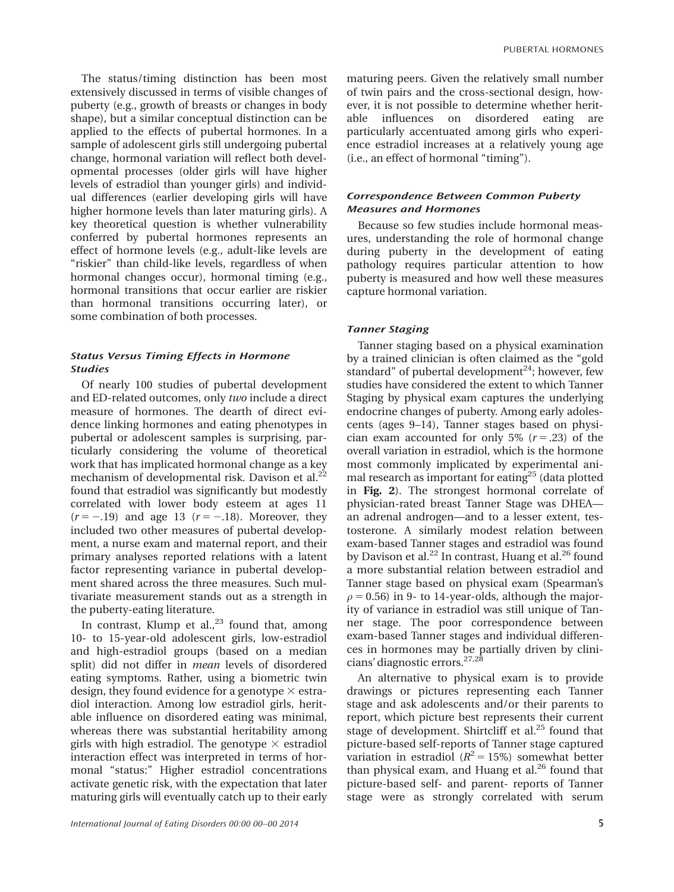The status/timing distinction has been most extensively discussed in terms of visible changes of puberty (e.g., growth of breasts or changes in body shape), but a similar conceptual distinction can be applied to the effects of pubertal hormones. In a sample of adolescent girls still undergoing pubertal change, hormonal variation will reflect both developmental processes (older girls will have higher levels of estradiol than younger girls) and individual differences (earlier developing girls will have higher hormone levels than later maturing girls). A key theoretical question is whether vulnerability conferred by pubertal hormones represents an effect of hormone levels (e.g., adult-like levels are "riskier" than child-like levels, regardless of when hormonal changes occur), hormonal timing (e.g., hormonal transitions that occur earlier are riskier than hormonal transitions occurring later), or some combination of both processes.

## Status Versus Timing Effects in Hormone Studies

Of nearly 100 studies of pubertal development and ED-related outcomes, only two include a direct measure of hormones. The dearth of direct evidence linking hormones and eating phenotypes in pubertal or adolescent samples is surprising, particularly considering the volume of theoretical work that has implicated hormonal change as a key mechanism of developmental risk. Davison et al.<sup>22</sup> found that estradiol was significantly but modestly correlated with lower body esteem at ages 11  $(r = -.19)$  and age 13  $(r = -.18)$ . Moreover, they included two other measures of pubertal development, a nurse exam and maternal report, and their primary analyses reported relations with a latent factor representing variance in pubertal development shared across the three measures. Such multivariate measurement stands out as a strength in the puberty-eating literature.

In contrast, Klump et al., $23$  found that, among 10- to 15-year-old adolescent girls, low-estradiol and high-estradiol groups (based on a median split) did not differ in *mean* levels of disordered eating symptoms. Rather, using a biometric twin design, they found evidence for a genotype  $\times$  estradiol interaction. Among low estradiol girls, heritable influence on disordered eating was minimal, whereas there was substantial heritability among girls with high estradiol. The genotype  $\times$  estradiol interaction effect was interpreted in terms of hormonal "status:" Higher estradiol concentrations activate genetic risk, with the expectation that later maturing girls will eventually catch up to their early

maturing peers. Given the relatively small number of twin pairs and the cross-sectional design, however, it is not possible to determine whether heritable influences on disordered eating are particularly accentuated among girls who experience estradiol increases at a relatively young age (i.e., an effect of hormonal "timing").

## Correspondence Between Common Puberty Measures and Hormones

Because so few studies include hormonal measures, understanding the role of hormonal change during puberty in the development of eating pathology requires particular attention to how puberty is measured and how well these measures capture hormonal variation.

#### Tanner Staging

Tanner staging based on a physical examination by a trained clinician is often claimed as the "gold standard" of pubertal development $^{24}$ ; however, few studies have considered the extent to which Tanner Staging by physical exam captures the underlying endocrine changes of puberty. Among early adolescents (ages 9–14), Tanner stages based on physician exam accounted for only 5%  $(r = .23)$  of the overall variation in estradiol, which is the hormone most commonly implicated by experimental animal research as important for eating<sup>25</sup> (data plotted in Fig. 2). The strongest hormonal correlate of physician-rated breast Tanner Stage was DHEA an adrenal androgen—and to a lesser extent, testosterone. A similarly modest relation between exam-based Tanner stages and estradiol was found by Davison et al.<sup>22</sup> In contrast, Huang et al.<sup>26</sup> found a more substantial relation between estradiol and Tanner stage based on physical exam (Spearman's  $\rho$  = 0.56) in 9- to 14-year-olds, although the majority of variance in estradiol was still unique of Tanner stage. The poor correspondence between exam-based Tanner stages and individual differences in hormones may be partially driven by clinicians' diagnostic errors.27,28

An alternative to physical exam is to provide drawings or pictures representing each Tanner stage and ask adolescents and/or their parents to report, which picture best represents their current stage of development. Shirtcliff et al.<sup>25</sup> found that picture-based self-reports of Tanner stage captured variation in estradiol  $(R^2 = 15\%)$  somewhat better than physical exam, and Huang et al. $^{26}$  found that picture-based self- and parent- reports of Tanner stage were as strongly correlated with serum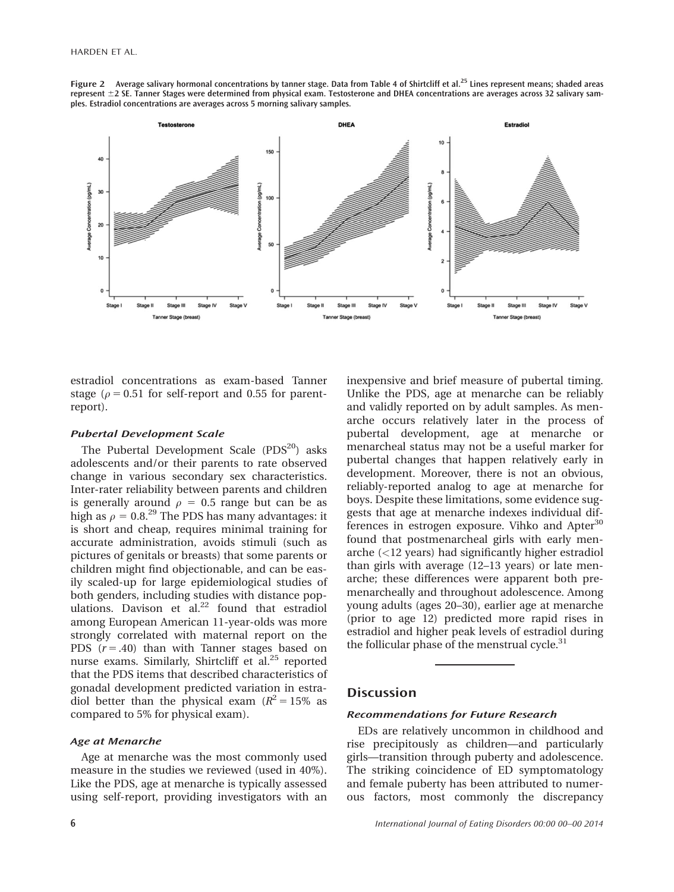Figure 2 Average salivary hormonal concentrations by tanner stage. Data from Table 4 of Shirtcliff et al.<sup>25</sup> Lines represent means; shaded areas represent  $\pm$ 2 SE. Tanner Stages were determined from physical exam. Testosterone and DHEA concentrations are averages across 32 salivary samples. Estradiol concentrations are averages across 5 morning salivary samples.



estradiol concentrations as exam-based Tanner stage ( $\rho = 0.51$  for self-report and 0.55 for parentreport).

## Pubertal Development Scale

The Pubertal Development Scale  $(PDS<sup>20</sup>)$  asks adolescents and/or their parents to rate observed change in various secondary sex characteristics. Inter-rater reliability between parents and children is generally around  $\rho = 0.5$  range but can be as high as  $\rho = 0.8^{29}$  The PDS has many advantages: it is short and cheap, requires minimal training for accurate administration, avoids stimuli (such as pictures of genitals or breasts) that some parents or children might find objectionable, and can be easily scaled-up for large epidemiological studies of both genders, including studies with distance populations. Davison et  $al^{22}$  found that estradiol among European American 11-year-olds was more strongly correlated with maternal report on the PDS  $(r = .40)$  than with Tanner stages based on nurse exams. Similarly, Shirtcliff et al.<sup>25</sup> reported that the PDS items that described characteristics of gonadal development predicted variation in estradiol better than the physical exam  $(R^2 = 15\%$  as compared to 5% for physical exam).

## Age at Menarche

Age at menarche was the most commonly used measure in the studies we reviewed (used in 40%). Like the PDS, age at menarche is typically assessed using self-report, providing investigators with an

inexpensive and brief measure of pubertal timing. Unlike the PDS, age at menarche can be reliably and validly reported on by adult samples. As menarche occurs relatively later in the process of pubertal development, age at menarche or menarcheal status may not be a useful marker for pubertal changes that happen relatively early in development. Moreover, there is not an obvious, reliably-reported analog to age at menarche for boys. Despite these limitations, some evidence suggests that age at menarche indexes individual differences in estrogen exposure. Vihko and  $A$ pter $30$ found that postmenarcheal girls with early menarche (<12 years) had significantly higher estradiol than girls with average (12–13 years) or late menarche; these differences were apparent both premenarcheally and throughout adolescence. Among young adults (ages 20–30), earlier age at menarche (prior to age 12) predicted more rapid rises in estradiol and higher peak levels of estradiol during the follicular phase of the menstrual cycle. $31$ 

# **Discussion**

#### Recommendations for Future Research

EDs are relatively uncommon in childhood and rise precipitously as children—and particularly girls—transition through puberty and adolescence. The striking coincidence of ED symptomatology and female puberty has been attributed to numerous factors, most commonly the discrepancy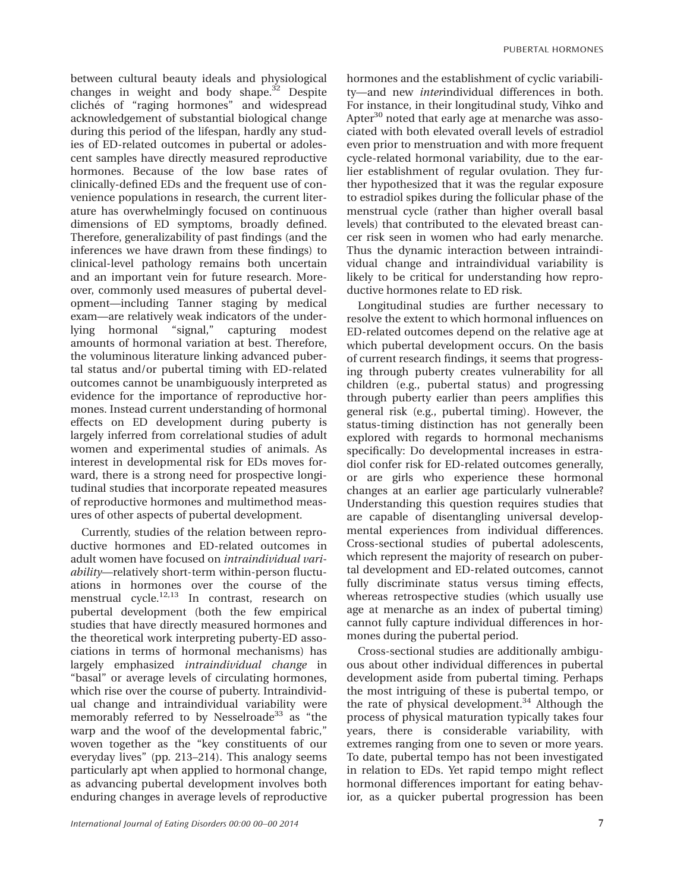between cultural beauty ideals and physiological changes in weight and body shape.<sup>32</sup> Despite clichés of "raging hormones" and widespread acknowledgement of substantial biological change during this period of the lifespan, hardly any studies of ED-related outcomes in pubertal or adolescent samples have directly measured reproductive hormones. Because of the low base rates of clinically-defined EDs and the frequent use of convenience populations in research, the current literature has overwhelmingly focused on continuous dimensions of ED symptoms, broadly defined. Therefore, generalizability of past findings (and the inferences we have drawn from these findings) to clinical-level pathology remains both uncertain and an important vein for future research. Moreover, commonly used measures of pubertal development—including Tanner staging by medical exam—are relatively weak indicators of the underlying hormonal "signal," capturing modest amounts of hormonal variation at best. Therefore, the voluminous literature linking advanced pubertal status and/or pubertal timing with ED-related outcomes cannot be unambiguously interpreted as evidence for the importance of reproductive hormones. Instead current understanding of hormonal effects on ED development during puberty is largely inferred from correlational studies of adult women and experimental studies of animals. As interest in developmental risk for EDs moves forward, there is a strong need for prospective longitudinal studies that incorporate repeated measures of reproductive hormones and multimethod measures of other aspects of pubertal development.

Currently, studies of the relation between reproductive hormones and ED-related outcomes in adult women have focused on intraindividual variability—relatively short-term within-person fluctuations in hormones over the course of the menstrual cycle. $12,13$  In contrast, research on pubertal development (both the few empirical studies that have directly measured hormones and the theoretical work interpreting puberty-ED associations in terms of hormonal mechanisms) has largely emphasized intraindividual change in "basal" or average levels of circulating hormones, which rise over the course of puberty. Intraindividual change and intraindividual variability were memorably referred to by Nesselroade<sup>33</sup> as "the warp and the woof of the developmental fabric," woven together as the "key constituents of our everyday lives" (pp. 213–214). This analogy seems particularly apt when applied to hormonal change, as advancing pubertal development involves both enduring changes in average levels of reproductive hormones and the establishment of cyclic variability—and new interindividual differences in both. For instance, in their longitudinal study, Vihko and Apter<sup>30</sup> noted that early age at menarche was associated with both elevated overall levels of estradiol even prior to menstruation and with more frequent cycle-related hormonal variability, due to the earlier establishment of regular ovulation. They further hypothesized that it was the regular exposure to estradiol spikes during the follicular phase of the menstrual cycle (rather than higher overall basal levels) that contributed to the elevated breast cancer risk seen in women who had early menarche. Thus the dynamic interaction between intraindividual change and intraindividual variability is likely to be critical for understanding how reproductive hormones relate to ED risk.

Longitudinal studies are further necessary to resolve the extent to which hormonal influences on ED-related outcomes depend on the relative age at which pubertal development occurs. On the basis of current research findings, it seems that progressing through puberty creates vulnerability for all children (e.g., pubertal status) and progressing through puberty earlier than peers amplifies this general risk (e.g., pubertal timing). However, the status-timing distinction has not generally been explored with regards to hormonal mechanisms specifically: Do developmental increases in estradiol confer risk for ED-related outcomes generally, or are girls who experience these hormonal changes at an earlier age particularly vulnerable? Understanding this question requires studies that are capable of disentangling universal developmental experiences from individual differences. Cross-sectional studies of pubertal adolescents, which represent the majority of research on pubertal development and ED-related outcomes, cannot fully discriminate status versus timing effects, whereas retrospective studies (which usually use age at menarche as an index of pubertal timing) cannot fully capture individual differences in hormones during the pubertal period.

Cross-sectional studies are additionally ambiguous about other individual differences in pubertal development aside from pubertal timing. Perhaps the most intriguing of these is pubertal tempo, or the rate of physical development.<sup>34</sup> Although the process of physical maturation typically takes four years, there is considerable variability, with extremes ranging from one to seven or more years. To date, pubertal tempo has not been investigated in relation to EDs. Yet rapid tempo might reflect hormonal differences important for eating behavior, as a quicker pubertal progression has been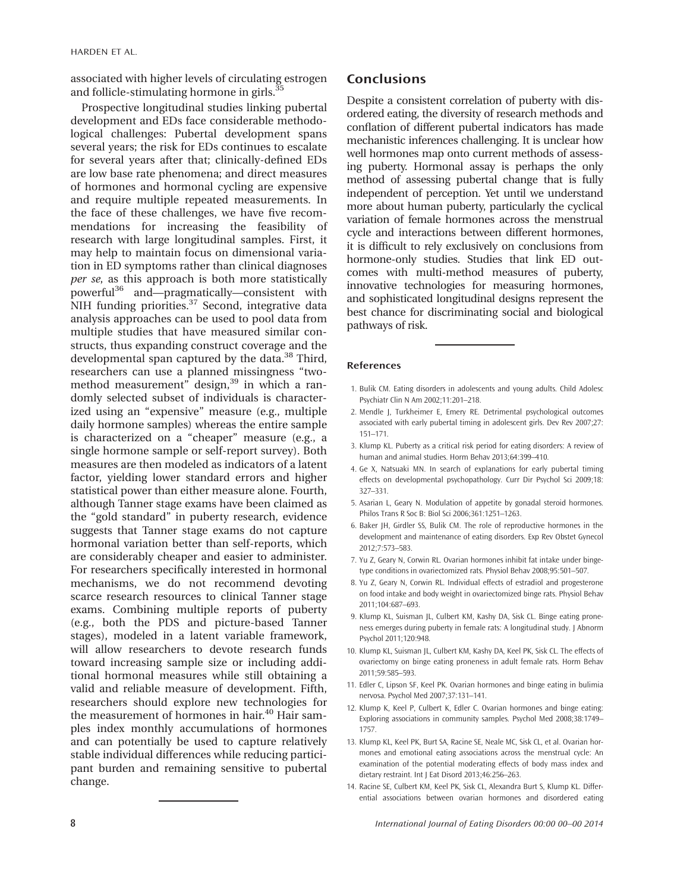associated with higher levels of circulating estrogen and follicle-stimulating hormone in girls.<sup>35</sup>

Prospective longitudinal studies linking pubertal development and EDs face considerable methodological challenges: Pubertal development spans several years; the risk for EDs continues to escalate for several years after that; clinically-defined EDs are low base rate phenomena; and direct measures of hormones and hormonal cycling are expensive and require multiple repeated measurements. In the face of these challenges, we have five recommendations for increasing the feasibility of research with large longitudinal samples. First, it may help to maintain focus on dimensional variation in ED symptoms rather than clinical diagnoses per se, as this approach is both more statistically powerful<sup>36</sup> and—pragmatically—consistent with NIH funding priorities.<sup>37</sup> Second, integrative data analysis approaches can be used to pool data from multiple studies that have measured similar constructs, thus expanding construct coverage and the developmental span captured by the data.<sup>38</sup> Third, researchers can use a planned missingness "twomethod measurement" design,<sup>39</sup> in which a randomly selected subset of individuals is characterized using an "expensive" measure (e.g., multiple daily hormone samples) whereas the entire sample is characterized on a "cheaper" measure (e.g., a single hormone sample or self-report survey). Both measures are then modeled as indicators of a latent factor, yielding lower standard errors and higher statistical power than either measure alone. Fourth, although Tanner stage exams have been claimed as the "gold standard" in puberty research, evidence suggests that Tanner stage exams do not capture hormonal variation better than self-reports, which are considerably cheaper and easier to administer. For researchers specifically interested in hormonal mechanisms, we do not recommend devoting scarce research resources to clinical Tanner stage exams. Combining multiple reports of puberty (e.g., both the PDS and picture-based Tanner stages), modeled in a latent variable framework, will allow researchers to devote research funds toward increasing sample size or including additional hormonal measures while still obtaining a valid and reliable measure of development. Fifth, researchers should explore new technologies for the measurement of hormones in hair.<sup>40</sup> Hair samples index monthly accumulations of hormones and can potentially be used to capture relatively stable individual differences while reducing participant burden and remaining sensitive to pubertal change.

Despite a consistent correlation of puberty with disordered eating, the diversity of research methods and conflation of different pubertal indicators has made mechanistic inferences challenging. It is unclear how well hormones map onto current methods of assessing puberty. Hormonal assay is perhaps the only method of assessing pubertal change that is fully independent of perception. Yet until we understand more about human puberty, particularly the cyclical variation of female hormones across the menstrual cycle and interactions between different hormones, it is difficult to rely exclusively on conclusions from hormone-only studies. Studies that link ED outcomes with multi-method measures of puberty, innovative technologies for measuring hormones, and sophisticated longitudinal designs represent the best chance for discriminating social and biological pathways of risk.

#### References

- 1. Bulik CM. Eating disorders in adolescents and young adults. Child Adolesc Psychiatr Clin N Am 2002;11:201–218.
- 2. Mendle J, Turkheimer E, Emery RE. Detrimental psychological outcomes associated with early pubertal timing in adolescent girls. Dev Rev 2007;27: 151–171.
- 3. Klump KL. Puberty as a critical risk period for eating disorders: A review of human and animal studies. Horm Behav 2013;64:399–410.
- 4. Ge X, Natsuaki MN. In search of explanations for early pubertal timing effects on developmental psychopathology. Curr Dir Psychol Sci 2009;18: 327–331.
- 5. Asarian L, Geary N. Modulation of appetite by gonadal steroid hormones. Philos Trans R Soc B: Biol Sci 2006;361:1251–1263.
- 6. Baker JH, Girdler SS, Bulik CM. The role of reproductive hormones in the development and maintenance of eating disorders. Exp Rev Obstet Gynecol 2012;7:573–583.
- 7. Yu Z, Geary N, Corwin RL. Ovarian hormones inhibit fat intake under bingetype conditions in ovariectomized rats. Physiol Behav 2008;95:501–507.
- 8. Yu Z, Geary N, Corwin RL. Individual effects of estradiol and progesterone on food intake and body weight in ovariectomized binge rats. Physiol Behav 2011;104:687–693.
- 9. Klump KL, Suisman JL, Culbert KM, Kashy DA, Sisk CL. Binge eating proneness emerges during puberty in female rats: A longitudinal study. J Abnorm Psychol 2011;120:948.
- 10. Klump KL, Suisman JL, Culbert KM, Kashy DA, Keel PK, Sisk CL. The effects of ovariectomy on binge eating proneness in adult female rats. Horm Behav 2011;59:585–593.
- 11. Edler C, Lipson SF, Keel PK. Ovarian hormones and binge eating in bulimia nervosa. Psychol Med 2007;37:131–141.
- 12. Klump K, Keel P, Culbert K, Edler C. Ovarian hormones and binge eating: Exploring associations in community samples. Psychol Med 2008;38:1749– 1757.
- 13. Klump KL, Keel PK, Burt SA, Racine SE, Neale MC, Sisk CL, et al. Ovarian hormones and emotional eating associations across the menstrual cycle: An examination of the potential moderating effects of body mass index and dietary restraint. Int J Eat Disord 2013;46:256–263.
- 14. Racine SE, Culbert KM, Keel PK, Sisk CL, Alexandra Burt S, Klump KL. Differential associations between ovarian hormones and disordered eating